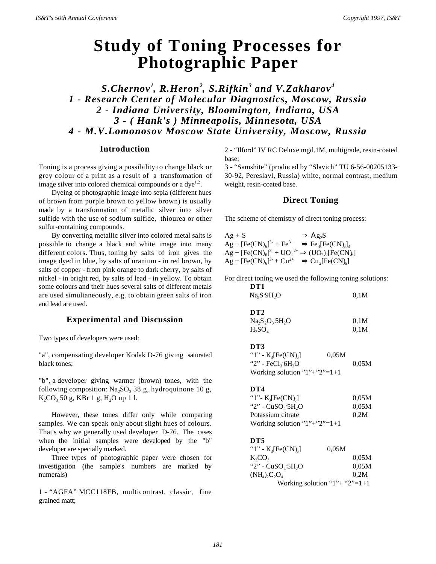# **Study of Toning Processes for Photographic Paper**

*S.Chernov<sup>1</sup> , R.Heron<sup>2</sup> , S.Rifkin<sup>3</sup> and V.Zakharov<sup>4</sup> 1 - Research Center of Molecular Diagnostics, Moscow, Russia 2 - Indiana University, Bloomington, Indiana, USA 3 - ( Hank's ) Minneapolis, Minnesota, USA 4 - M.V.Lomonosov Moscow State University, Moscow, Russia*

## **Introduction**

Toning is a process giving a possibility to change black or grey colour of a print as a result of a transformation of image silver into colored chemical compounds or a  $dye^{1,2}$ .

Dyeing of photographic image into sepia (different hues of brown from purple brown to yellow brown) is usually made by a transformation of metallic silver into silver sulfide with the use of sodium sulfide, thiourea or other sulfur-containing compounds.

By converting metallic silver into colored metal salts is possible to change a black and white image into many different colors. Thus, toning by salts of iron gives the image dyed in blue, by salts of uranium - in red brown, by salts of copper - from pink orange to dark cherry, by salts of nickel - in bright red, by salts of lead - in yellow. To obtain some colours and their hues several salts of different metals are used simultaneously, e.g. to obtain green salts of iron and lead are used.

# **Experimental and Discussion**

Two types of developers were used:

"a", compensating developer Kodak D-76 giving saturated black tones;

"b", a developer giving warmer (brown) tones, with the following composition:  $Na<sub>2</sub>SO<sub>3</sub>$  38 g, hydroquinone 10 g,  $K_2CO_3$  50 g, KBr 1 g, H<sub>2</sub>O up 1 l.

However, these tones differ only while comparing samples. We can speak only about slight hues of colours. That's why we generally used developer D-76. The cases when the initial samples were developed by the "b" developer are specially marked.

Three types of photographic paper were chosen for investigation (the sample's numbers are marked by numerals)

1 - "AGFA" MCC118FB, multicontrast, classic, fine grained matt;

2 - "Ilford" IV RC Deluxe mgd.1M, multigrade, resin-coated base;

3 - "Samshite" (produced by "Slavich" TU 6-56-00205133- 30-92, Pereslavl, Russia) white, normal contrast, medium weight, resin-coated base.

#### **Direct Toning**

The scheme of chemistry of direct toning process:

 $Ag + S \Rightarrow Ag_2S$  $\text{Ag} + [\text{Fe(CN)}_6]^{3-} + \text{Fe}^{3+} \Rightarrow \text{Fe}_4[\text{Fe(CN)}_6]_3$  $\text{Ag} + [\text{Fe(CN)}_6]^{3-} + \text{UO}_2^{2+} \Rightarrow (\text{UO}_2)_2[\text{Fe(CN)}_6]$  $\text{Ag} + [\text{Fe(CN)}_6]^{3-} + \text{Cu}^{2+} \Rightarrow \text{Cu}_2[\text{Fe(CN)}_6]$ 

For direct toning we used the following toning solutions:

| 0.1M  |
|-------|
|       |
|       |
| 0.1M  |
| 0.1M  |
|       |
|       |
| 0.05M |
|       |
|       |
| 0.05M |
| 0.05M |
| 0,2M  |
|       |
|       |

**DT5**

| " $1$ " - K <sub>3</sub> [Fe(CN) <sub>6</sub> ] | 0.05M                                 |
|-------------------------------------------------|---------------------------------------|
| $K_2CO_3$                                       | 0.05M                                 |
| "2" - $CuSO45H2O$                               | 0.05M                                 |
| $(NH_4)_2C_2O_4$                                | 0.2M                                  |
|                                                 | Working solution " $1$ "+ " $2$ "=1+1 |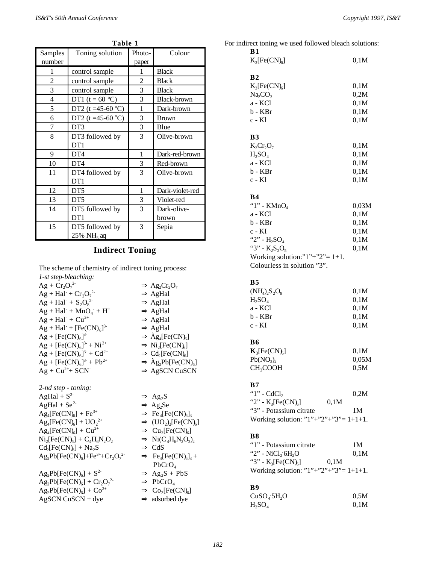| rable 1                  |                                           |                 |                      |  |
|--------------------------|-------------------------------------------|-----------------|----------------------|--|
| Samples<br>number        | Toning solution                           | Photo-<br>paper | Colour               |  |
| 1                        | control sample                            | 1               | <b>Black</b>         |  |
| 2                        | control sample                            | $\overline{c}$  | <b>Black</b>         |  |
| 3                        | control sample                            | 3               | <b>Black</b>         |  |
| $\overline{\mathcal{L}}$ | DT1 ( $t = 60$ °C)                        | 3               | <b>Black-brown</b>   |  |
| 5                        | DT2 (t =45-60 $^{\circ}$ C)               | 1               | Dark-brown           |  |
| 6                        | DT2 (t =45-60 $^{\circ}$ C)               | 3               | <b>Brown</b>         |  |
| 7                        | DT <sub>3</sub>                           | $\mathfrak{Z}$  | Blue                 |  |
| 8                        | DT3 followed by<br>DT1                    | 3               | Olive-brown          |  |
| 9                        | DT <sub>4</sub>                           | 1               | Dark-red-brown       |  |
| 10                       | DT <sub>4</sub>                           | 3               | Red-brown            |  |
| 11                       | DT4 followed by<br>DT1                    | 3               | Olive-brown          |  |
| 12                       | DT <sub>5</sub>                           | 1               | Dark-violet-red      |  |
| 13                       | DT <sub>5</sub>                           | 3               | Violet-red           |  |
| 14                       | DT5 followed by<br>DT1                    | 3               | Dark-olive-<br>brown |  |
| 15                       | DT5 followed by<br>$25\% \text{ NH}_3$ aq | 3               | Sepia                |  |

**Table 1** 

## **Indirect Toning**

The scheme of chemistry of indirect toning process: *1-st step-bleaching:*

 $Ag + Cr_2O_7^{2}$  $\Rightarrow$  Ag<sub>2</sub>Cr<sub>2</sub>O<sub>7</sub>  $Ag + Hal + Cr_2O_7^2$  $\Rightarrow$  AgHal  $Ag + Hal + S_2O_8$  $\Rightarrow$  AgHal  $Ag + Hal + MnO_4$  $\Rightarrow$  AgHal  $Ag + Hal + Cu^{2+}$  $\Rightarrow$  AgHal  $Ag + Hal^- + [Fe(CN)<sub>6</sub>]$  $\Rightarrow$  AgHal  $Ag + [Fe(CN)<sub>6</sub>]$  $\Rightarrow$   $\text{Ag}_{4}[\text{Fe(CN)}_{6}]$  $\text{Ag} + [\text{Fe(CN)}_6]^{3-} + \text{Ni}^{2+} \Rightarrow \text{Ni}_2$  $[Fe(CN)<sub>6</sub>]$  $\text{Ag} + [\text{Fe(CN)}_6]^{3-} + \text{Cd}^{2+} \Rightarrow \text{Cd}_2$  $[Fe(CN)<sub>6</sub>]$  $Ag + [Fe(CN)<sub>6</sub>]$  $3^3$  + Pb<sup>2+</sup>  $\Rightarrow$   $\angle$  Ag<sub>2</sub>Pb[Fe(CN)<sub>6</sub>]  $Ag + Cu^{2+} + SCN$   $\Rightarrow AgSCN$  CuSCN *2-nd step - toning:*  $AgHal + S^2$   $\Rightarrow Ag_2S$  $AgHal + Se<sup>2-</sup>$   $\Rightarrow Ag_2Se$  $\text{Ag}_{4}[\text{Fe(CN)}_{6}] + \text{Fe}^{3+} \Rightarrow \text{Fe}_{4}$  $[Fe(CN)<sub>6</sub>]$ <sub>3</sub>  $\text{Ag}_4[\text{Fe(CN)}_6] + \text{UO}_2$ 2+  $\Rightarrow (UO_2)_2[Fe(CN)_6]$  $\text{Ag}_{4}[\text{Fe(CN)}_{6}] + \text{Cu}^{2+} \Rightarrow \text{Cu}_{2}$  $[Fe(CN)<sub>6</sub>]$  $\rm Ni_2[Fe(CN)_6$  $] + C_4H_6N_2O_2$   $\Rightarrow$  Ni(C<sub>4</sub>H<sub>6</sub>N<sub>2</sub>O<sub>2</sub>)<sub>2</sub>  $Cd_2[Fe(CN)_6] + Na_2S \Rightarrow CdS$  $\text{Ag}_2\text{Pb}[\text{Fe(CN)}_6]+\text{Fe}^{3+}+\text{Cr}_2\text{O}_7$ <sup>2-</sup>  $\Rightarrow$  Fe<sub>4</sub>[Fe(CN)<sub>6</sub>]<sub>3</sub> + PbCrO<sup>4</sup>  $Ag_2Pb[Fe(CN)<sub>6</sub>] + S<sup>2</sup>$  $\Rightarrow$  Ag<sub>2</sub>S + PbS  $Ag_2Pb[Fe(CN)<sub>6</sub>] + Cr_2O_7$  $\Rightarrow$  PbCrO<sub>4</sub>

 $\text{Ag}_2\text{Pb}[\text{Fe(CN)}_6] + \text{Co}^{2+} \Rightarrow \text{Co}_2$ 

 $AgSCN \text{ } CusCN + \text{dye}$   $\Rightarrow$  adsorbed dye

| For indirect toning we used followed bleach solutions: |              |
|--------------------------------------------------------|--------------|
| B1                                                     |              |
| $K_3[Fe(CN)_6]$                                        | 0,1M         |
| B <sub>2</sub>                                         |              |
| $K_3[Fe(CN)_6]$                                        | 0,1M         |
| Na <sub>2</sub> CO <sub>3</sub>                        | 0,2M         |
| a - KCl                                                | 0,1M         |
| b - KBr                                                | 0,1M         |
| c - Kl                                                 | 0,1M         |
|                                                        |              |
| <b>B3</b>                                              |              |
| $K_2Cr_2O_7$                                           | 0,1M         |
| $H_2SO_4$                                              | 0,1M         |
| a - KCl                                                | 0,1M         |
| b - KBr                                                | 0,1M         |
| c - Kl                                                 | 0,1M         |
|                                                        |              |
| <b>B4</b>                                              |              |
| "1" - $K MnO4$                                         | 0,03M        |
| a - KCl                                                | 0,1M         |
| b - KBr                                                | 0,1M         |
| $c - KI$                                               | 0,1M         |
| "2" - $H_2SO_4$                                        | 0,1M         |
| "3" - $K_2S_2O_5$                                      | 0,1M         |
| Working solution:" $1" + "2" = 1+1$ .                  |              |
| Colourless in solution "3".                            |              |
|                                                        |              |
| <b>B5</b>                                              |              |
| $(NH_4)_2S_2O_8$                                       | 0,1M<br>0,1M |
| $H_2SO_4$<br>a - KCl                                   | 0,1M         |
| b - KBr                                                | 0,1M         |
| c - KI                                                 | 0,1M         |
|                                                        |              |
| <b>B6</b>                                              |              |
| $K_3[Fe(CN)_6]$                                        | 0,1M         |
| Pb(NO <sub>3</sub> ) <sub>2</sub>                      | 0,05M        |
| CH <sub>3</sub> COOH                                   | 0,5M         |
|                                                        |              |
| B7                                                     |              |
| " $1$ " - CdCl <sub>2</sub>                            | 0,2M         |
| "2" - $K_3[Fe(CN)_6]$<br>0,1M                          |              |
| "3" - Potassium citrate                                | 1M           |
| Working solution: " $1$ "+" $2$ "+" $3$ "= 1+1+1.      |              |
|                                                        |              |
| B8                                                     |              |
| "1" - Potassium citrate                                | 1M           |
| "2" - $NiCl26H2O$                                      | 0,1M         |
| "3" - $K_3[Fe(CN)_6]$<br>0,1M                          |              |
| Working solution: " $1" + "2" + "3" = 1 + 1 + 1$ .     |              |
|                                                        |              |
| B9                                                     | 0,5M         |
| CuSO <sub>4</sub> 5H <sub>2</sub> O                    |              |

 $H<sub>2</sub>SO<sub>4</sub>$  0,1M

 $[Fe(CN)<sub>6</sub>]$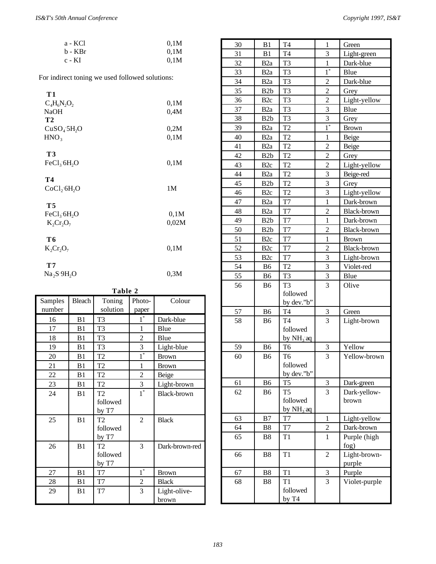| a - KCl  | 0.1M |
|----------|------|
| b - KBr  | 0.1M |
| $c - KI$ | 0.1M |

For indirect toning we used followed solutions:

| T 1                                       |       |
|-------------------------------------------|-------|
| $C_4H_6N_2O_2$                            | 0,1M  |
| <b>NaOH</b>                               | 0,4M  |
| T <sub>2</sub>                            |       |
| CuSO <sub>4</sub> 5H <sub>2</sub> O       | 0,2M  |
| HNO <sub>3</sub>                          | 0,1M  |
| T3<br>FeCl <sub>3</sub> 6H <sub>2</sub> O | 0,1M  |
| T4                                        |       |
| CoCl <sub>2</sub> 6H <sub>2</sub> O       | 1M    |
|                                           |       |
| T5                                        |       |
| FeCl <sub>3</sub> 6H <sub>2</sub> O       | 0,1M  |
| $K_2Cr_2O_7$                              | 0,02M |
|                                           |       |
| T 6                                       |       |
| $K_2Cr_2O_7$                              | 0,1M  |
|                                           |       |
| T7                                        |       |
| $Na_2S.9H_2O$                             | 0.3M  |

| Table 2 |                |                |                  |                |
|---------|----------------|----------------|------------------|----------------|
| Samples | <b>Bleach</b>  | Toning         | Photo-           | Colour         |
| number  |                | solution       | paper            |                |
| 16      | B1             | T <sub>3</sub> | $1^*$            | Dark-blue      |
| 17      | B1             | T <sub>3</sub> | 1                | Blue           |
| 18      | B1             | T <sub>3</sub> | $\overline{c}$   | Blue           |
| 19      | B1             | T <sub>3</sub> | 3                | Light-blue     |
| 20      | B <sub>1</sub> | T <sub>2</sub> | $\overline{1}^*$ | <b>Brown</b>   |
| 21      | B1             | T <sub>2</sub> | 1                | <b>Brown</b>   |
| 22      | B1             | T <sub>2</sub> | $\overline{c}$   | Beige          |
| 23      | B1             | T <sub>2</sub> | 3                | Light-brown    |
| 24      | B1             | T <sub>2</sub> | $1^*$            | Black-brown    |
|         |                | followed       |                  |                |
|         |                | by T7          |                  |                |
| 25      | B1             | T <sub>2</sub> | $\overline{2}$   | <b>Black</b>   |
|         |                | followed       |                  |                |
|         |                | by T7          |                  |                |
| 26      | B1             | T <sub>2</sub> | 3                | Dark-brown-red |
|         |                | followed       |                  |                |
|         |                | by T7          |                  |                |
| 27      | B1             | T7             | $1^*$            | <b>Brown</b>   |
| 28      | B <sub>1</sub> | T7             | 2                | <b>Black</b>   |
| 29      | B <sub>1</sub> | T7             | 3                | Light-olive-   |
|         |                |                |                  | brown          |

| 30       | B1               | T <sub>4</sub>       | 1                          | Green                |  |
|----------|------------------|----------------------|----------------------------|----------------------|--|
| 31       | B1               | T <sub>4</sub>       | 3                          | Light-green          |  |
| 32       | B <sub>2</sub> a | T <sub>3</sub>       | $\mathbf{1}$               | Dark-blue            |  |
| 33       | B <sub>2</sub> a | T <sub>3</sub>       | $\overline{1}^*$           | Blue                 |  |
| 34       | B <sub>2</sub> a | T <sub>3</sub>       | $\overline{c}$             | Dark-blue            |  |
| 35       | B2b              | T <sub>3</sub>       | $\overline{2}$             | Grey                 |  |
| 36       | B <sub>2c</sub>  | T <sub>3</sub>       | $\overline{2}$             | Light-yellow         |  |
| 37       | B <sub>2</sub> a | T <sub>3</sub>       | $\overline{3}$             | Blue                 |  |
| 38       | B <sub>2</sub> b | T <sub>3</sub>       | $\overline{3}$             | Grey                 |  |
| 39       | B <sub>2</sub> a | T <sub>2</sub>       | $1^*$                      | <b>Brown</b>         |  |
| 40       | B <sub>2</sub> a | T <sub>2</sub>       | 1                          | Beige                |  |
| 41       | B <sub>2</sub> a | T <sub>2</sub>       | $\overline{2}$             | Beige                |  |
| 42       | B <sub>2</sub> b | T <sub>2</sub>       | $\overline{2}$             | Grey                 |  |
| 43       | B <sub>2c</sub>  | T <sub>2</sub>       | $\overline{c}$             | Light-yellow         |  |
| 44       | B <sub>2</sub> a | T <sub>2</sub>       | 3                          | Beige-red            |  |
| 45       | B <sub>2</sub> b | T <sub>2</sub>       | $\overline{3}$             | Grey                 |  |
| 46       | B <sub>2c</sub>  | T <sub>2</sub>       | 3                          | Light-yellow         |  |
| 47       | B <sub>2</sub> a | T7                   | $\mathbf{1}$               | Dark-brown           |  |
| 48       | B <sub>2</sub> a | T7                   | $\overline{2}$             | Black-brown          |  |
| 49       | B <sub>2</sub> b | T <sub>7</sub>       | $\overline{1}$             | Dark-brown           |  |
| 50       | B <sub>2</sub> b | T7                   | $\overline{c}$             | Black-brown          |  |
| 51       | B <sub>2c</sub>  | T7                   | $\mathbf{1}$               | <b>Brown</b>         |  |
| 52       | B <sub>2c</sub>  | T <sub>7</sub>       | $\overline{2}$             | Black-brown          |  |
| 53       | B <sub>2c</sub>  | T7                   | 3                          | Light-brown          |  |
| 54       | B <sub>6</sub>   | T <sub>2</sub>       | $\overline{3}$             | Violet-red           |  |
| 55       | B <sub>6</sub>   | T <sub>3</sub>       | 3                          | Blue                 |  |
| 56       | B6               | T <sub>3</sub>       | 3                          | Olive                |  |
|          |                  | followed             |                            |                      |  |
|          |                  | by dev."b"           |                            |                      |  |
| 57       | B <sub>6</sub>   | T <sub>4</sub>       | $\boldsymbol{\mathcal{Z}}$ | Green                |  |
| 58       | B6               | T <sub>4</sub>       | 3                          | Light-brown          |  |
|          |                  | followed             |                            |                      |  |
|          |                  | by $NH_3$ aq         |                            |                      |  |
| 59       | B <sub>6</sub>   | T <sub>6</sub>       | 3                          | Yellow               |  |
| 60       | B <sub>6</sub>   | T <sub>6</sub>       | 3                          | Yellow-brown         |  |
|          |                  | followed             |                            |                      |  |
|          |                  | by dev."b"           |                            |                      |  |
| 61       | B <sub>6</sub>   | T <sub>5</sub>       | $\sqrt{3}$                 | Dark-green           |  |
| 62       | B6               | T <sub>5</sub>       | 3                          | Dark-yellow-         |  |
|          |                  | followed             |                            | brown                |  |
|          |                  | by $NH3$ aq          |                            |                      |  |
| 63       | B7               | T7                   | $\mathbf{1}$               | Light-yellow         |  |
| 64<br>65 | B8               | T <sub>7</sub><br>T1 | $\overline{c}$<br>1        | Dark-brown           |  |
|          | B8               |                      |                            | Purple (high<br>fog) |  |
| 66       | <b>B8</b>        | T1                   | $\overline{c}$             | Light-brown-         |  |
|          |                  |                      |                            | purple               |  |
| 67       | B8               | T <sub>1</sub>       | 3                          | Purple               |  |
| 68       | B8               | T1                   | 3                          | Violet-purple        |  |
|          |                  | followed             |                            |                      |  |
|          |                  | by $T4$              |                            |                      |  |